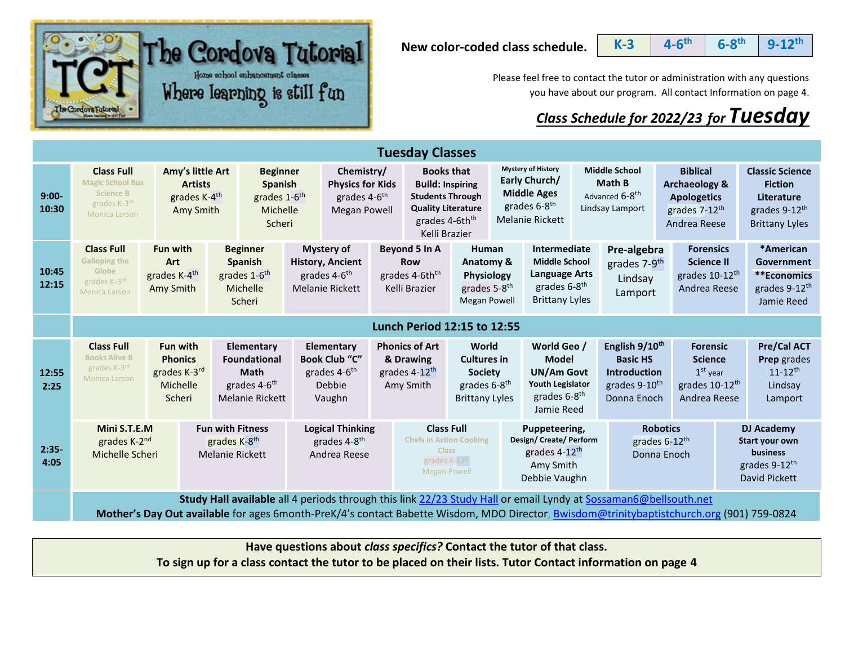

**New color-coded class schedule.**

**K-3 4-6 th 6-8 th 9-12th**

Please feel free to contact the tutor or administration with any questions you have about our program. All contact Information on page 4.

## *Class Schedule for 2022/23 for Tuesday*

|                  | <b>Tuesday Classes</b>                                                                                                                                                                                                                                       |                                                                                                                                                                                                                                                                         |                                                                                     |                                                                                                    |                                                                                                                         |                                                                                                                                                     |                                                                                                                       |                                                                                                                 |                                                                                                                   |                                                                                        |                                                                                               |                                                                                                                |                                                                                               |  |                                                                                                              |
|------------------|--------------------------------------------------------------------------------------------------------------------------------------------------------------------------------------------------------------------------------------------------------------|-------------------------------------------------------------------------------------------------------------------------------------------------------------------------------------------------------------------------------------------------------------------------|-------------------------------------------------------------------------------------|----------------------------------------------------------------------------------------------------|-------------------------------------------------------------------------------------------------------------------------|-----------------------------------------------------------------------------------------------------------------------------------------------------|-----------------------------------------------------------------------------------------------------------------------|-----------------------------------------------------------------------------------------------------------------|-------------------------------------------------------------------------------------------------------------------|----------------------------------------------------------------------------------------|-----------------------------------------------------------------------------------------------|----------------------------------------------------------------------------------------------------------------|-----------------------------------------------------------------------------------------------|--|--------------------------------------------------------------------------------------------------------------|
| $9:00-$<br>10:30 | <b>Class Full</b><br>Amy's little Art<br><b>Magic School Bus</b><br><b>Artists</b><br><b>Science B</b><br>grades K-4 <sup>th</sup><br>grades K-3rd<br>Amy Smith<br>Monica Larson                                                                             |                                                                                                                                                                                                                                                                         | <b>Beginner</b><br>Spanish<br>grades 1-6 <sup>th</sup><br>Michelle<br>Scheri        | Chemistry/<br><b>Physics for Kids</b><br>grades 4-6 <sup>th</sup><br><b>Megan Powell</b>           |                                                                                                                         | <b>Books that</b><br><b>Build: Inspiring</b><br><b>Students Through</b><br><b>Quality Literature</b><br>grades 4-6th <sup>th</sup><br>Kelli Brazier |                                                                                                                       | <b>Mystery of History</b><br>Early Church/<br><b>Middle Ages</b><br>grades 6-8 <sup>th</sup><br>Melanie Rickett |                                                                                                                   | <b>Middle School</b><br><b>Math B</b><br>Advanced 6-8 <sup>th</sup><br>Lindsay Lamport |                                                                                               | <b>Biblical</b><br><b>Archaeology &amp;</b><br><b>Apologetics</b><br>grades 7-12 <sup>th</sup><br>Andrea Reese |                                                                                               |  | <b>Classic Science</b><br><b>Fiction</b><br>Literature<br>grades 9-12 <sup>th</sup><br><b>Brittany Lyles</b> |
| 10:45<br>12:15   | <b>Class Full</b><br><b>Galloping the</b><br>Globe<br>grades K-3rd<br><b>Monica Larson</b>                                                                                                                                                                   | <b>Fun with</b><br>Art<br>grades K-4 <sup>th</sup><br>Amy Smith                                                                                                                                                                                                         | <b>Beginner</b><br><b>Spanish</b><br>grades 1-6 <sup>th</sup><br>Michelle<br>Scheri | <b>Mystery of</b><br><b>History, Ancient</b><br>grades 4-6 <sup>th</sup><br><b>Melanie Rickett</b> |                                                                                                                         | Beyond 5 In A<br><b>Row</b><br>grades 4-6th <sup>th</sup><br>Kelli Brazier                                                                          | <b>Human</b><br>Anatomy &<br>Physiology<br>grades 5-8 <sup>th</sup><br><b>Megan Powell</b>                            |                                                                                                                 | Intermediate<br><b>Middle School</b><br><b>Language Arts</b><br>grades 6-8 <sup>th</sup><br><b>Brittany Lyles</b> | Pre-algebra<br>grades 7-9 <sup>th</sup><br>Lindsay<br>Lamport                          |                                                                                               | <b>Forensics</b><br><b>Science II</b><br>grades 10-12 <sup>th</sup><br>Andrea Reese                            |                                                                                               |  | *American<br>Government<br>**Economics<br>grades 9-12 <sup>th</sup><br>Jamie Reed                            |
|                  | Lunch Period 12:15 to 12:55                                                                                                                                                                                                                                  |                                                                                                                                                                                                                                                                         |                                                                                     |                                                                                                    |                                                                                                                         |                                                                                                                                                     |                                                                                                                       |                                                                                                                 |                                                                                                                   |                                                                                        |                                                                                               |                                                                                                                |                                                                                               |  |                                                                                                              |
| 12:55<br>2:25    | <b>Class Full</b><br><b>Books Alive B</b><br>grades K-3rd<br><b>Monica Larson</b>                                                                                                                                                                            | Elementary<br><b>Fun with</b><br>Elementary<br><b>Book Club "C"</b><br><b>Phonics</b><br><b>Foundational</b><br>grades K-3rd<br><b>Math</b><br>grades 4-6 <sup>th</sup><br>grades 4-6 <sup>th</sup><br>Debbie<br>Michelle<br>Scheri<br><b>Melanie Rickett</b><br>Vaughn |                                                                                     | <b>Phonics of Art</b><br>& Drawing<br>grades 4-12 <sup>th</sup><br>Amy Smith                       | World<br><b>Cultures in</b><br><b>Society</b><br>grades 6-8 <sup>th</sup><br><b>Brittany Lyles</b>                      |                                                                                                                                                     | World Geo /<br><b>Model</b><br><b>UN/Am Govt</b><br><b>Youth Legislator</b><br>grades 6-8 <sup>th</sup><br>Jamie Reed |                                                                                                                 | English 9/10 <sup>th</sup><br><b>Basic HS</b><br><b>Introduction</b><br>grades 9-10 <sup>th</sup><br>Donna Enoch  |                                                                                        | <b>Forensic</b><br><b>Science</b><br>$1st$ year<br>grades 10-12 <sup>th</sup><br>Andrea Reese |                                                                                                                | Pre/Cal ACT<br>Prep grades<br>$11 - 12$ <sup>th</sup><br>Lindsay<br>Lamport                   |  |                                                                                                              |
| $2:35-$<br>4:05  | <b>Fun with Fitness</b><br>Mini S.T.E.M<br>grades K-8 <sup>th</sup><br>grades K-2 <sup>nd</sup><br>Michelle Scheri<br><b>Melanie Rickett</b>                                                                                                                 |                                                                                                                                                                                                                                                                         | <b>Logical Thinking</b><br>grades 4-8 <sup>th</sup><br>Andrea Reese                 |                                                                                                    | <b>Class Full</b><br><b>Chefs in Action Cooking</b><br><b>Class</b><br>grades 4-12 <sup>th</sup><br><b>Megan Powell</b> |                                                                                                                                                     | Puppeteering,<br>Design/Create/Perform<br>grades 4-12th<br>Amy Smith<br>Debbie Vaughn                                 |                                                                                                                 |                                                                                                                   | <b>Robotics</b><br>grades 6-12th<br>Donna Enoch                                        |                                                                                               |                                                                                                                | <b>DJ Academy</b><br>Start your own<br>business<br>grades 9-12 <sup>th</sup><br>David Pickett |  |                                                                                                              |
|                  | Study Hall available all 4 periods through this link 22/23 Study Hall or email Lyndy at Sossaman6@bellsouth.net<br>Mother's Day Out available for ages 6month-PreK/4's contact Babette Wisdom, MDO Director, Bwisdom@trinitybaptistchurch.org (901) 759-0824 |                                                                                                                                                                                                                                                                         |                                                                                     |                                                                                                    |                                                                                                                         |                                                                                                                                                     |                                                                                                                       |                                                                                                                 |                                                                                                                   |                                                                                        |                                                                                               |                                                                                                                |                                                                                               |  |                                                                                                              |

**Have questions about** *class specifics?* **Contact the tutor of that class.** 

**To sign up for a class contact the tutor to be placed on their lists. Tutor Contact information on page 4**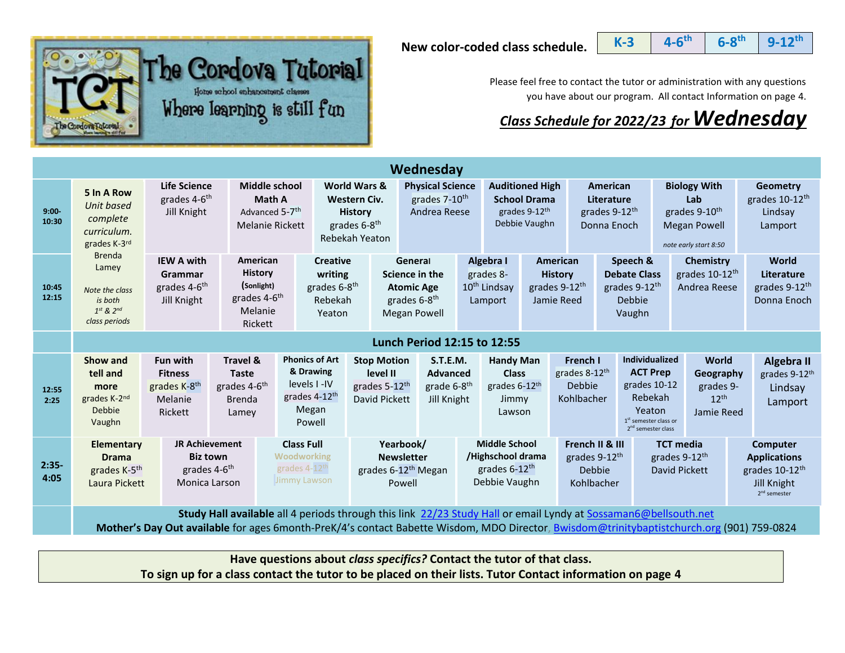**New color-coded class schedule.**





Please feel free to contact the tutor or administration with any questions you have about our program. All contact Information on page 4.

## *Class Schedule for 2022/23 for Wednesday*

|                   | Wednesday                                                                                                                                                                                                                                                    |                                                                                                                                                                                                                                                                                                                                                              |                                                                                            |                                                                                                                                                                                        |                                                                             |                                                                                                                                           |  |                                                                                             |                                                                                                                                 |                                                                                                                 |  |                                                                                  |                                                                                                         |                                                                                                                                                                                                                           |                                                         |                                                                 |
|-------------------|--------------------------------------------------------------------------------------------------------------------------------------------------------------------------------------------------------------------------------------------------------------|--------------------------------------------------------------------------------------------------------------------------------------------------------------------------------------------------------------------------------------------------------------------------------------------------------------------------------------------------------------|--------------------------------------------------------------------------------------------|----------------------------------------------------------------------------------------------------------------------------------------------------------------------------------------|-----------------------------------------------------------------------------|-------------------------------------------------------------------------------------------------------------------------------------------|--|---------------------------------------------------------------------------------------------|---------------------------------------------------------------------------------------------------------------------------------|-----------------------------------------------------------------------------------------------------------------|--|----------------------------------------------------------------------------------|---------------------------------------------------------------------------------------------------------|---------------------------------------------------------------------------------------------------------------------------------------------------------------------------------------------------------------------------|---------------------------------------------------------|-----------------------------------------------------------------|
| $9:00 -$<br>10:30 | 5 In A Row<br>Unit based<br>complete<br>curriculum.<br>grades K-3rd                                                                                                                                                                                          | <b>Life Science</b><br>grades 4-6 <sup>th</sup><br>Jill Knight                                                                                                                                                                                                                                                                                               |                                                                                            | World Wars &<br>Middle school<br>Math A<br>Western Civ.<br>Advanced 5-7 <sup>th</sup><br><b>History</b><br>grades 6-8 <sup>th</sup><br><b>Melanie Rickett</b><br><b>Rebekah Yeaton</b> |                                                                             | <b>Physical Science</b><br>grades 7-10 <sup>th</sup><br>Andrea Reese                                                                      |  | <b>Auditioned High</b><br><b>School Drama</b><br>grades 9-12 <sup>th</sup><br>Debbie Vaughn |                                                                                                                                 | <b>American</b><br>Literature<br>grades 9-12 <sup>th</sup><br>Donna Enoch                                       |  |                                                                                  | <b>Biology With</b><br>Lab<br>grades 9-10 <sup>th</sup><br><b>Megan Powell</b><br>note early start 8:50 |                                                                                                                                                                                                                           | <b>Geometry</b><br>grades 10-12th<br>Lindsay<br>Lamport |                                                                 |
| 10:45<br>12:15    | <b>Brenda</b><br><b>IEW A with</b><br>Lamey<br>Grammar<br>grades 4-6 <sup>th</sup><br>Note the class<br>Jill Knight<br>is both<br>$1^{st}$ & $2^{nd}$<br>class periods                                                                                       |                                                                                                                                                                                                                                                                                                                                                              | American<br><b>History</b><br>(Sonlight)<br>grades 4-6 <sup>th</sup><br>Melanie<br>Rickett |                                                                                                                                                                                        | <b>Creative</b><br>writing<br>grades 6-8 <sup>th</sup><br>Rebekah<br>Yeaton | General<br>Science in the<br><b>Atomic Age</b><br>grades 6-8 <sup>th</sup><br><b>Megan Powell</b>                                         |  |                                                                                             | Algebra I<br>American<br>grades 8-<br><b>History</b><br>$10^{th}$ Lindsay<br>grades 9-12 <sup>th</sup><br>Jamie Reed<br>Lamport |                                                                                                                 |  | Speech &<br><b>Debate Class</b><br>grades 9-12 <sup>th</sup><br>Debbie<br>Vaughn |                                                                                                         | <b>Chemistry</b><br>grades 10-12 <sup>th</sup><br>Andrea Reese                                                                                                                                                            |                                                         | World<br>Literature<br>grades 9-12 <sup>th</sup><br>Donna Enoch |
|                   | Lunch Period 12:15 to 12:55                                                                                                                                                                                                                                  |                                                                                                                                                                                                                                                                                                                                                              |                                                                                            |                                                                                                                                                                                        |                                                                             |                                                                                                                                           |  |                                                                                             |                                                                                                                                 |                                                                                                                 |  |                                                                                  |                                                                                                         |                                                                                                                                                                                                                           |                                                         |                                                                 |
| 12:55<br>2:25     | Show and<br>tell and<br>more<br>grades K-2nd<br>Debbie<br>Vaughn                                                                                                                                                                                             | <b>Fun with</b><br><b>Fitness</b><br>grades K-8 <sup>th</sup><br>Melanie<br>Rickett                                                                                                                                                                                                                                                                          | <b>Travel &amp;</b><br><b>Taste</b><br>grades 4-6 <sup>th</sup><br><b>Brenda</b><br>Lamey  | <b>Phonics of Art</b><br>& Drawing<br>levels I-IV<br>grades 4-12 <sup>th</sup><br>Megan<br>Powell                                                                                      |                                                                             | S.T.E.M.<br><b>Stop Motion</b><br>level II<br><b>Advanced</b><br>grades 5-12th<br>grade 6-8 <sup>th</sup><br>David Pickett<br>Jill Knight |  | <b>Handy Man</b><br><b>Class</b><br>grades 6-12 <sup>th</sup><br>Jimmy<br>Lawson            |                                                                                                                                 |                                                                                                                 |  | French I<br>grades 8-12 <sup>th</sup><br><b>Debbie</b><br>Kohlbacher             |                                                                                                         | <b>Individualized</b><br><b>World</b><br><b>ACT Prep</b><br>Geography<br>grades 10-12<br>grades 9-<br>Rebekah<br>$12^{th}$<br>Yeaton<br>Jamie Reed<br>1 <sup>st</sup> semester class or<br>2 <sup>nd</sup> semester class |                                                         | Algebra II<br>grades 9-12th<br>Lindsay<br>Lamport               |
| $2:35-$<br>4:05   | <b>Elementary</b><br><b>Drama</b><br>grades K-5 <sup>th</sup>                                                                                                                                                                                                | <b>Class Full</b><br>Yearbook/<br><b>JR Achievement</b><br><b>Middle School</b><br>/Highschool drama<br><b>Biz town</b><br><b>Woodworking</b><br><b>Newsletter</b><br>grades 4-12th<br>grades 6-12 <sup>th</sup><br>grades 4-6 <sup>th</sup><br>grades 6-12 <sup>th</sup> Megan<br>Jimmy Lawson<br>Debbie Vaughn<br>Monica Larson<br>Laura Pickett<br>Powell |                                                                                            |                                                                                                                                                                                        | French II & III<br>grades 9-12th<br>Debbie<br>Kohlbacher                    |                                                                                                                                           |  | <b>TCT media</b><br>grades 9-12 <sup>th</sup><br>David Pickett                              |                                                                                                                                 | <b>Computer</b><br><b>Applications</b><br>grades 10-12 <sup>th</sup><br>Jill Knight<br>2 <sup>nd</sup> semester |  |                                                                                  |                                                                                                         |                                                                                                                                                                                                                           |                                                         |                                                                 |
|                   | Study Hall available all 4 periods through this link 22/23 Study Hall or email Lyndy at Sossaman6@bellsouth.net<br>Mother's Day Out available for ages 6month-PreK/4's contact Babette Wisdom, MDO Director, Bwisdom@trinitybaptistchurch.org (901) 759-0824 |                                                                                                                                                                                                                                                                                                                                                              |                                                                                            |                                                                                                                                                                                        |                                                                             |                                                                                                                                           |  |                                                                                             |                                                                                                                                 |                                                                                                                 |  |                                                                                  |                                                                                                         |                                                                                                                                                                                                                           |                                                         |                                                                 |

**Have questions about** *class specifics?* **Contact the tutor of that class.** 

**To sign up for a class contact the tutor to be placed on their lists. Tutor Contact information on page 4**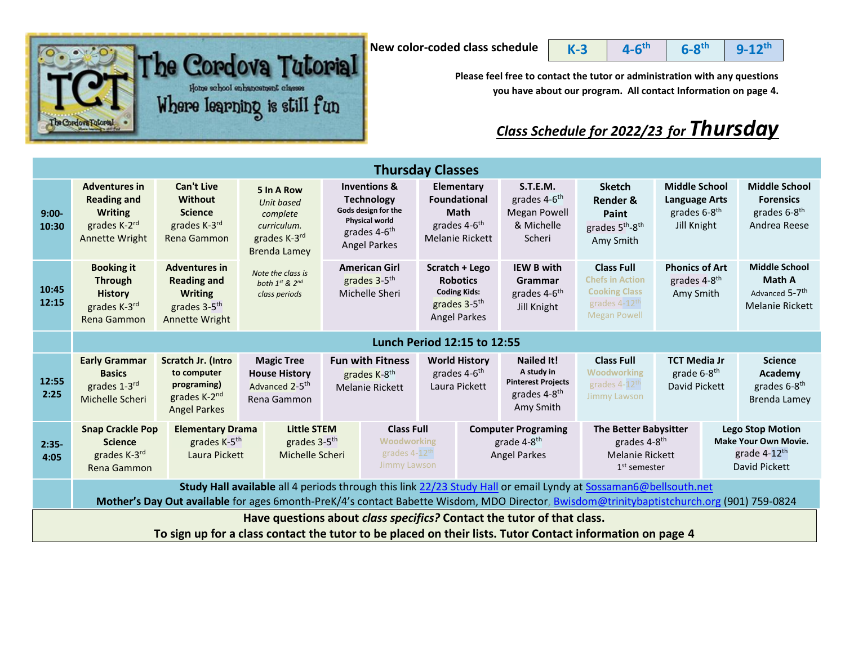

**th 6-8**

 $\begin{array}{|c|c|c|c|c|c|}\hline \textbf{b} & \textbf{c} & \textbf{d} & \textbf{b} & \textbf{b} & \textbf{b} & \textbf{b} & \textbf{b} & \textbf{b} & \textbf{b} & \textbf{b} & \textbf{b} & \textbf{b} & \textbf{b} & \textbf{b} & \textbf{b} & \textbf{b} & \textbf{b} & \textbf{b} & \textbf{b} & \textbf{b} & \textbf{b} & \textbf{b} & \textbf{b} & \textbf{b} & \textbf{b} & \textbf{b} & \textbf{b} & \textbf$ Home school enhancement classes Where learning is still fun Cordovs Futor

**Please feel free to contact the tutor or administration with any questions you have about our program. All contact Information on page 4.**

## *Class Schedule for 2022/23 for Thursday*

| <b>Thursday Classes</b>                                                |                                                                                                                                                                                                                                                                     |                                                                                                                   |                                                                                                                                                      |                                                                                                                                                 |                                                                                      |                                                                                                             |  |                                                                                                       |                                                                                                                                                  |                                                                                         |  |                                                                                                     |  |
|------------------------------------------------------------------------|---------------------------------------------------------------------------------------------------------------------------------------------------------------------------------------------------------------------------------------------------------------------|-------------------------------------------------------------------------------------------------------------------|------------------------------------------------------------------------------------------------------------------------------------------------------|-------------------------------------------------------------------------------------------------------------------------------------------------|--------------------------------------------------------------------------------------|-------------------------------------------------------------------------------------------------------------|--|-------------------------------------------------------------------------------------------------------|--------------------------------------------------------------------------------------------------------------------------------------------------|-----------------------------------------------------------------------------------------|--|-----------------------------------------------------------------------------------------------------|--|
| $9:00-$<br>10:30                                                       | <b>Adventures in</b><br><b>Reading and</b><br><b>Writing</b><br>grades K-2rd<br>Annette Wright                                                                                                                                                                      | <b>Can't Live</b><br><b>Without</b><br><b>Science</b><br>grades K-3rd<br>Rena Gammon                              | 5 In A Row<br>Unit based<br>complete<br>curriculum.<br>grades K-3rd<br><b>Brenda Lamey</b>                                                           | <b>Inventions &amp;</b><br><b>Technology</b><br>Gods design for the<br><b>Physical world</b><br>grades 4-6 <sup>th</sup><br><b>Angel Parkes</b> |                                                                                      | Elementary<br><b>Foundational</b><br><b>Math</b><br>grades 4-6 <sup>th</sup><br><b>Melanie Rickett</b>      |  | S.T.E.M.<br>grades 4-6 <sup>th</sup><br><b>Megan Powell</b><br>& Michelle<br>Scheri                   | <b>Sketch</b><br><b>Render &amp;</b><br>Paint<br>grades 5 <sup>th</sup> -8 <sup>th</sup><br>Amy Smith                                            | <b>Middle School</b><br><b>Language Arts</b><br>grades 6-8 <sup>th</sup><br>Jill Knight |  | <b>Middle School</b><br><b>Forensics</b><br>grades 6-8 <sup>th</sup><br>Andrea Reese                |  |
| 10:45<br>12:15                                                         | <b>Booking it</b><br><b>Through</b><br><b>History</b><br>grades K-3rd<br>Rena Gammon                                                                                                                                                                                | <b>Adventures in</b><br><b>Reading and</b><br><b>Writing</b><br>grades 3-5 <sup>th</sup><br><b>Annette Wright</b> | Note the class is<br>both 1st & 2nd<br>class periods                                                                                                 | <b>American Girl</b><br>grades 3-5 <sup>th</sup><br>Michelle Sheri                                                                              |                                                                                      | Scratch + Lego<br><b>Robotics</b><br><b>Coding Kids:</b><br>grades 3-5 <sup>th</sup><br><b>Angel Parkes</b> |  | <b>IEW B with</b><br>Grammar<br>grades 4-6 <sup>th</sup><br>Jill Knight                               | <b>Class Full</b><br><b>Chefs in Action</b><br><b>Cooking Class</b><br>grades 4-12 <sup>th</sup><br><b>Megan Powell</b>                          | <b>Phonics of Art</b><br>grades 4-8 <sup>th</sup><br>Amy Smith                          |  | <b>Middle School</b><br><b>Math A</b><br>Advanced 5-7 <sup>th</sup><br>Melanie Rickett              |  |
|                                                                        | Lunch Period 12:15 to 12:55                                                                                                                                                                                                                                         |                                                                                                                   |                                                                                                                                                      |                                                                                                                                                 |                                                                                      |                                                                                                             |  |                                                                                                       |                                                                                                                                                  |                                                                                         |  |                                                                                                     |  |
| 12:55<br>2:25                                                          | <b>Early Grammar</b><br>Scratch Jr. (Intro<br>to computer<br><b>Basics</b><br>programing)<br>grades 1-3rd<br>grades K-2 <sup>nd</sup><br>Michelle Scheri<br><b>Angel Parkes</b>                                                                                     |                                                                                                                   | <b>Magic Tree</b><br><b>Fun with Fitness</b><br><b>House History</b><br>grades K-8th<br>Advanced 2-5 <sup>th</sup><br>Melanie Rickett<br>Rena Gammon |                                                                                                                                                 |                                                                                      | <b>World History</b><br>grades 4-6 <sup>th</sup><br>Laura Pickett                                           |  | <b>Nailed It!</b><br>A study in<br><b>Pinterest Projects</b><br>grades 4-8 <sup>th</sup><br>Amy Smith | <b>Class Full</b><br><b>TCT Media Jr</b><br>Woodworking<br>grade 6-8 <sup>th</sup><br>grades 4-12 <sup>th</sup><br>David Pickett<br>Jimmy Lawson |                                                                                         |  | <b>Science</b><br>Academy<br>grades 6-8 <sup>th</sup><br><b>Brenda Lamey</b>                        |  |
| $2:35-$<br>4:05                                                        | <b>Snap Crackle Pop</b><br><b>Science</b><br>grades K-3rd<br>Rena Gammon                                                                                                                                                                                            | <b>Elementary Drama</b><br>grades K-5 <sup>th</sup><br>Laura Pickett                                              | <b>Little STEM</b><br>grades 3-5 <sup>th</sup><br>Michelle Scheri                                                                                    |                                                                                                                                                 | <b>Class Full</b><br><b>Woodworking</b><br>grades 4-12 <sup>th</sup><br>Jimmy Lawson |                                                                                                             |  | <b>Computer Programing</b><br>grade 4-8 <sup>th</sup><br><b>Angel Parkes</b>                          | <b>The Better Babysitter</b><br>grades 4-8 <sup>th</sup><br><b>Melanie Rickett</b><br>$1st$ semester                                             |                                                                                         |  | <b>Lego Stop Motion</b><br><b>Make Your Own Movie.</b><br>grade 4-12 <sup>th</sup><br>David Pickett |  |
|                                                                        | Study Hall available all 4 periods through this link 22/23 Study Hall or email Lyndy at Sossaman6@bellsouth.net<br>Mother's Day Out available for ages 6month-PreK/4's contact Babette Wisdom, MDO Director, <b>Bwisdom@trinitybaptistchurch.org</b> (901) 759-0824 |                                                                                                                   |                                                                                                                                                      |                                                                                                                                                 |                                                                                      |                                                                                                             |  |                                                                                                       |                                                                                                                                                  |                                                                                         |  |                                                                                                     |  |
| Have questions about class specifics? Contact the tutor of that class. |                                                                                                                                                                                                                                                                     |                                                                                                                   |                                                                                                                                                      |                                                                                                                                                 |                                                                                      |                                                                                                             |  |                                                                                                       |                                                                                                                                                  |                                                                                         |  |                                                                                                     |  |
|                                                                        |                                                                                                                                                                                                                                                                     | To sign up for a class contact the tutor to be placed on their lists. Tutor Contact information on page 4         |                                                                                                                                                      |                                                                                                                                                 |                                                                                      |                                                                                                             |  |                                                                                                       |                                                                                                                                                  |                                                                                         |  |                                                                                                     |  |